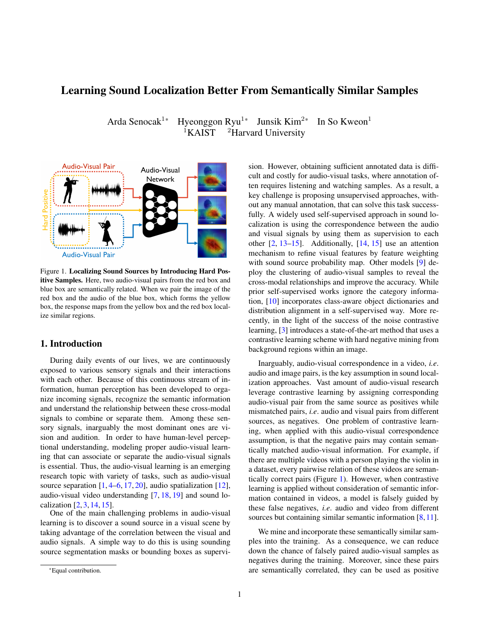# Learning Sound Localization Better From Semantically Similar Samples

Arda Senocak<sup>1\*</sup> Hyeonggon Ryu<sup>1\*</sup> Junsik Kim<sup>2\*</sup> In So Kweon<sup>1</sup>  ${}^{1}$ KAIST  ${}^{2}$ Harvard University

<span id="page-0-0"></span>

Figure 1. Localizing Sound Sources by Introducing Hard Positive Samples. Here, two audio-visual pairs from the red box and blue box are semantically related. When we pair the image of the red box and the audio of the blue box, which forms the yellow box, the response maps from the yellow box and the red box localize similar regions.

## 1. Introduction

During daily events of our lives, we are continuously exposed to various sensory signals and their interactions with each other. Because of this continuous stream of information, human perception has been developed to organize incoming signals, recognize the semantic information and understand the relationship between these cross-modal signals to combine or separate them. Among these sensory signals, inarguably the most dominant ones are vision and audition. In order to have human-level perceptional understanding, modeling proper audio-visual learning that can associate or separate the audio-visual signals is essential. Thus, the audio-visual learning is an emerging research topic with variety of tasks, such as audio-visual source separation  $[1, 4-6, 17, 20]$  $[1, 4-6, 17, 20]$  $[1, 4-6, 17, 20]$  $[1, 4-6, 17, 20]$  $[1, 4-6, 17, 20]$  $[1, 4-6, 17, 20]$  $[1, 4-6, 17, 20]$ , audio spatialization  $[12]$ , audio-visual video understanding [\[7,](#page-3-6) [18,](#page-3-7) [19\]](#page-3-8) and sound localization [\[2,](#page-3-9) [3,](#page-3-10) [14,](#page-3-11) [15\]](#page-3-12).

One of the main challenging problems in audio-visual learning is to discover a sound source in a visual scene by taking advantage of the correlation between the visual and audio signals. A simple way to do this is using sounding source segmentation masks or bounding boxes as supervision. However, obtaining sufficient annotated data is difficult and costly for audio-visual tasks, where annotation often requires listening and watching samples. As a result, a key challenge is proposing unsupervised approaches, without any manual annotation, that can solve this task successfully. A widely used self-supervised approach in sound localization is using the correspondence between the audio and visual signals by using them as supervision to each other [\[2,](#page-3-9) [13–](#page-3-13)[15\]](#page-3-12). Additionally, [\[14,](#page-3-11) [15\]](#page-3-12) use an attention mechanism to refine visual features by feature weighting with sound source probability map. Other models [\[9\]](#page-3-14) deploy the clustering of audio-visual samples to reveal the cross-modal relationships and improve the accuracy. While prior self-supervised works ignore the category information, [\[10\]](#page-3-15) incorporates class-aware object dictionaries and distribution alignment in a self-supervised way. More recently, in the light of the success of the noise contrastive learning, [\[3\]](#page-3-10) introduces a state-of-the-art method that uses a contrastive learning scheme with hard negative mining from background regions within an image.

Inarguably, audio-visual correspondence in a video, *i.e*. audio and image pairs, is the key assumption in sound localization approaches. Vast amount of audio-visual research leverage contrastive learning by assigning corresponding audio-visual pair from the same source as positives while mismatched pairs, *i.e*. audio and visual pairs from different sources, as negatives. One problem of contrastive learning, when applied with this audio-visual correspondence assumption, is that the negative pairs may contain semantically matched audio-visual information. For example, if there are multiple videos with a person playing the violin in a dataset, every pairwise relation of these videos are semantically correct pairs (Figure [1\)](#page-0-0). However, when contrastive learning is applied without consideration of semantic information contained in videos, a model is falsely guided by these false negatives, *i.e*. audio and video from different sources but containing similar semantic information [\[8,](#page-3-16)[11\]](#page-3-17).

We mine and incorporate these semantically similar samples into the training. As a consequence, we can reduce down the chance of falsely paired audio-visual samples as negatives during the training. Moreover, since these pairs are semantically correlated, they can be used as positive

<sup>\*</sup>Equal contribution.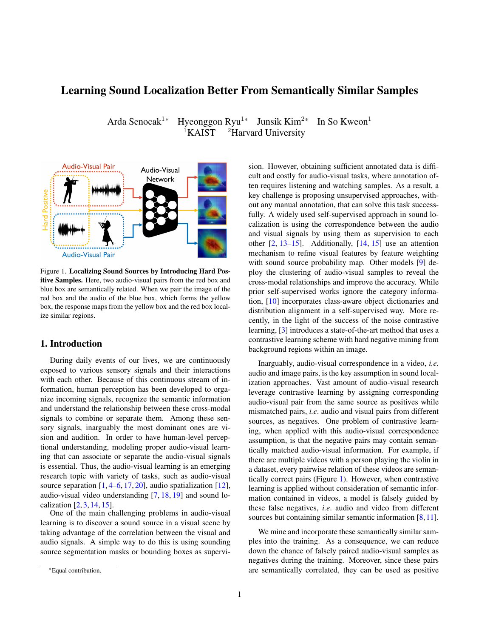pairs, *i.e*. hard positives, in sound localization tasks. For instance, if the audio samples of two different instances are semantically related, then the attention maps of those audios paired with the same base image should be similar to each other as in Figure [1.](#page-0-0) Note that this observation is valid when the order of the audio and vision samples in the previous scenario are swapped as well. We show this simple approach boosts sound localization performance on standard benchmarks.

To be clear, we do not propose a new architecture or a new loss function in this paper, but instead, we provide a new training mechanism by discovering semantically matched audio-visual pairs and incorporating them as hard positives. We make the following contributions: 1) We demonstrate hard positive audio-visual pairs produce similar localization results to that of corresponding pairs. 2) We mine and incorporate hard positives into the positive set of contrastive loss. 3) We show that incorporating hard positives improves the sound localization performance and outperforms prior works on the standard benchmarks.

### 2. Approach

Audio-visual attention is commonly used in sound localization studies [\[3,](#page-3-10)[10,](#page-3-15)[14\]](#page-3-11). We build the baseline audio-visual model based on the most recent work LVS [\[3\]](#page-3-10) and validate our method on top of the baseline. We first introduce the audio-visual attention mechanism and the baseline model named vanilla-LVS, and then introduce our approach.

#### 2.1. Preliminaries

We use an image frame  $V 2 \mathbb{R}^3$   $H_V W_V$  and the corresponding spectrogram  $a \, 2 \mathbb{R}^1$   $H_a$   $W_a$  of the audio from a clip  $X = fV$ ; ag. With the two-stream models,  $f_V$ (; v) for vision embedding and  $f_a(z)$  a) for audio embedding, the signals are encoded into the features:

$$
V = f_V(v; v); \quad V \supseteq \mathbb{R}^{c \cdot h \cdot w}
$$
  
\n
$$
A = f_a(a; a); \quad A \supseteq \mathbb{R}^{c}
$$
 (1)

The vision and audio features,  $V_j$  and  $A_i$ , are fed into the localization module and audio-visual response map ij  $2 \mathbb{R}^h$  <sup>w</sup> is computed with cosine similarity as:

$$
[j]_{uv} = \frac{\hbar A_{i}:[V_{j}]_{:uv}}{k A_{i}k [V_{j}]_{:uv}k}; \quad uv \ 2[h] \quad [w]; \quad (2)
$$

where  $\ell$  and  $\ell$  denote the audio and image sample indices respectively. Following [\[3\]](#page-3-10), pseudo-ground-truth mask  $m_{ij}$ , is obtained by thresholding the response map as follows:

$$
m_{ij} = ((j_j)^2)^2 \qquad (3)
$$

where refers to the sigmoid function, to the thresholding parameter and is the temperature. The inner product between the mask  $m_{ij}$  and the response map  $ii$  is computed to emphasize positively correlated regions of the response map.

#### 2.2. Semantically Similar Sample Mining

Our method is based on the observation that hard positives make similar localization results to the original pairs. These additional audio-visual response maps from the hard positives can be easily incorporated into the contrastive learning formulation. Semantically related samples in each modality are mined to form hard positives based on the similarity scores in the feature space. To get the reliable representations within each modality, we train the baseline model without tri-map, *i.e.* hard negative mining introduced in [\[3\]](#page-3-10).

Given sample  $i$  and an arbitrary sample  $j$ , we compute the cosine similarity between the features within each modality,  $A_i^T A_j$  and  $V_i^T V_j$ , where  $V_i$  is the spatial-wise average pooled vector of visual the feature map  $V_i$ . Sets of semantically similar items in both modality for the given sample,  $P_{i_A}$  and  $P_{i_V}$ , are constructed based on the computed scores,  $S_{iA}$  and  $S_{iV}$ . K number of semantically related samples are retrieved from the sorted similarity scores. All the samples that are not contained in the aforementioned sets are considered as negative samples and form a negative set,  $N_i$  :

$$
S_{i_A} = fA_i^T A_j j1 \t j \t ng;
$$
  
\n
$$
P_{i_A} = fX_t g_{t2S[1:K]}; \t S = argsort(S_{i_A});
$$
  
\n
$$
S_{i_V} = fV_i^T V_j j1 \t j \t ng;
$$
  
\n
$$
P_{i_V} = fX_t g_{t2S[1:K]}; \t S = argsort(S_{i_V});
$$
  
\n
$$
N_i = \overline{P_{i_A} \mid P_{i_V}};
$$
 (4)

#### 2.3. Training

The training objective of our method makes positive pair responses higher while negative pair responses are reduced. Since we incorporate responses from hard positives, we extend the contrastive learning formulation of [\[3\]](#page-3-10) by adding each hard positive response. Defining the response map of the base pairs as  $P_b$ , hard positive responses are computed as follows:  $P_a$  is the response of base visual signal and semantically similar audio,  $P_V$  is the response of base audio signal and semantically similar image, finally  $P_c$  is the cross-modal hard positive pair's response. All the responses from the base audio and negatively correlated image pairs are considered as the negative responses  $N_i$ . Definition of positive and negative responses are given as: